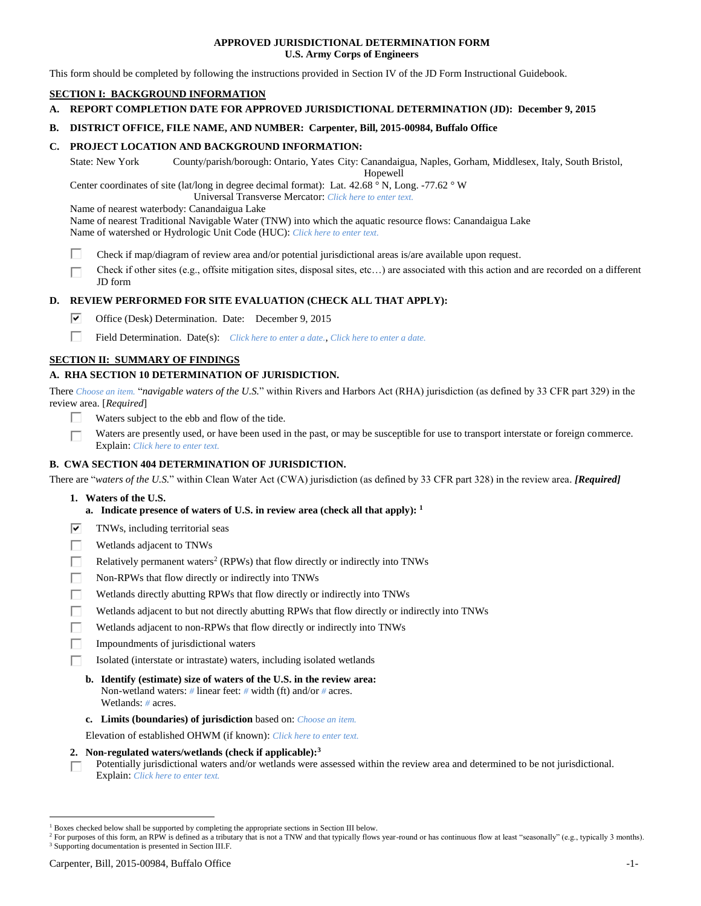## **APPROVED JURISDICTIONAL DETERMINATION FORM U.S. Army Corps of Engineers**

This form should be completed by following the instructions provided in Section IV of the JD Form Instructional Guidebook.

## **SECTION I: BACKGROUND INFORMATION**

### **A. REPORT COMPLETION DATE FOR APPROVED JURISDICTIONAL DETERMINATION (JD): December 9, 2015**

## **B. DISTRICT OFFICE, FILE NAME, AND NUMBER: Carpenter, Bill, 2015-00984, Buffalo Office**

## **C. PROJECT LOCATION AND BACKGROUND INFORMATION:**

State: New York County/parish/borough: Ontario, Yates City: Canandaigua, Naples, Gorham, Middlesex, Italy, South Bristol,

Hopewell

Center coordinates of site (lat/long in degree decimal format): Lat. 42.68 ° N, Long. -77.62 ° W

Universal Transverse Mercator: *Click here to enter text.*

Name of nearest waterbody: Canandaigua Lake

Name of nearest Traditional Navigable Water (TNW) into which the aquatic resource flows: Canandaigua Lake Name of watershed or Hydrologic Unit Code (HUC): *Click here to enter text.*

- п Check if map/diagram of review area and/or potential jurisdictional areas is/are available upon request.
- Check if other sites (e.g., offsite mitigation sites, disposal sites, etc…) are associated with this action and are recorded on a different JD form

## **D. REVIEW PERFORMED FOR SITE EVALUATION (CHECK ALL THAT APPLY):**

- ☞ Office (Desk) Determination. Date: December 9, 2015
- П. Field Determination. Date(s): *Click here to enter a date.*, *Click here to enter a date.*

## **SECTION II: SUMMARY OF FINDINGS**

## **A. RHA SECTION 10 DETERMINATION OF JURISDICTION.**

There *Choose an item.* "*navigable waters of the U.S.*" within Rivers and Harbors Act (RHA) jurisdiction (as defined by 33 CFR part 329) in the review area. [*Required*]

- Waters subject to the ebb and flow of the tide.  $\mathbf{I}$
- Waters are presently used, or have been used in the past, or may be susceptible for use to transport interstate or foreign commerce. г Explain: *Click here to enter text.*

## **B. CWA SECTION 404 DETERMINATION OF JURISDICTION.**

There are "*waters of the U.S.*" within Clean Water Act (CWA) jurisdiction (as defined by 33 CFR part 328) in the review area. *[Required]*

- **1. Waters of the U.S.**
	- **a. Indicate presence of waters of U.S. in review area (check all that apply): 1**
- ☑ TNWs, including territorial seas
- г Wetlands adjacent to TNWs
- Г Relatively permanent waters<sup>2</sup> (RPWs) that flow directly or indirectly into TNWs
- П Non-RPWs that flow directly or indirectly into TNWs
- г Wetlands directly abutting RPWs that flow directly or indirectly into TNWs
- Wetlands adjacent to but not directly abutting RPWs that flow directly or indirectly into TNWs
- П Wetlands adjacent to non-RPWs that flow directly or indirectly into TNWs
- П Impoundments of jurisdictional waters
- п Isolated (interstate or intrastate) waters, including isolated wetlands
	- **b. Identify (estimate) size of waters of the U.S. in the review area:** Non-wetland waters: *#* linear feet: *#* width (ft) and/or *#* acres. Wetlands: *#* acres.
	- **c. Limits (boundaries) of jurisdiction** based on: *Choose an item.*
	- Elevation of established OHWM (if known): *Click here to enter text.*
- **2. Non-regulated waters/wetlands (check if applicable): 3**

Potentially jurisdictional waters and/or wetlands were assessed within the review area and determined to be not jurisdictional. г Explain: *Click here to enter text.*

<sup>1</sup> Boxes checked below shall be supported by completing the appropriate sections in Section III below.

<sup>&</sup>lt;sup>2</sup> For purposes of this form, an RPW is defined as a tributary that is not a TNW and that typically flows year-round or has continuous flow at least "seasonally" (e.g., typically 3 months). <sup>3</sup> Supporting documentation is presented in Section III.F.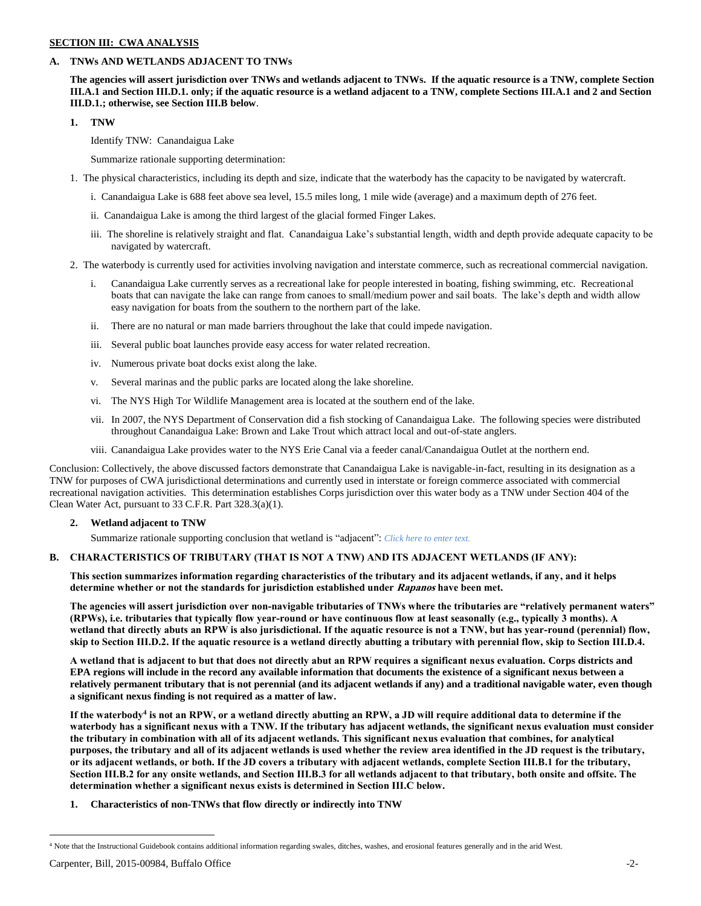## **SECTION III: CWA ANALYSIS**

## **A. TNWs AND WETLANDS ADJACENT TO TNWs**

**The agencies will assert jurisdiction over TNWs and wetlands adjacent to TNWs. If the aquatic resource is a TNW, complete Section III.A.1 and Section III.D.1. only; if the aquatic resource is a wetland adjacent to a TNW, complete Sections III.A.1 and 2 and Section III.D.1.; otherwise, see Section III.B below**.

## **1. TNW**

Identify TNW: Canandaigua Lake

Summarize rationale supporting determination:

- 1. The physical characteristics, including its depth and size, indicate that the waterbody has the capacity to be navigated by watercraft.
	- i. Canandaigua Lake is 688 feet above sea level, 15.5 miles long, 1 mile wide (average) and a maximum depth of 276 feet.
	- ii. Canandaigua Lake is among the third largest of the glacial formed Finger Lakes.
	- iii. The shoreline is relatively straight and flat. Canandaigua Lake's substantial length, width and depth provide adequate capacity to be navigated by watercraft.
- 2. The waterbody is currently used for activities involving navigation and interstate commerce, such as recreational commercial navigation.
	- i. Canandaigua Lake currently serves as a recreational lake for people interested in boating, fishing swimming, etc. Recreational boats that can navigate the lake can range from canoes to small/medium power and sail boats. The lake's depth and width allow easy navigation for boats from the southern to the northern part of the lake.
	- ii. There are no natural or man made barriers throughout the lake that could impede navigation.
	- iii. Several public boat launches provide easy access for water related recreation.
	- iv. Numerous private boat docks exist along the lake.
	- v. Several marinas and the public parks are located along the lake shoreline.
	- vi. The NYS High Tor Wildlife Management area is located at the southern end of the lake.
	- vii. In 2007, the NYS Department of Conservation did a fish stocking of Canandaigua Lake. The following species were distributed throughout Canandaigua Lake: Brown and Lake Trout which attract local and out-of-state anglers.
	- viii. Canandaigua Lake provides water to the NYS Erie Canal via a feeder canal/Canandaigua Outlet at the northern end.

Conclusion: Collectively, the above discussed factors demonstrate that Canandaigua Lake is navigable-in-fact, resulting in its designation as a TNW for purposes of CWA jurisdictional determinations and currently used in interstate or foreign commerce associated with commercial recreational navigation activities. This determination establishes Corps jurisdiction over this water body as a TNW under Section 404 of the Clean Water Act, pursuant to 33 C.F.R. Part 328.3(a)(1).

## **2. Wetland adjacent to TNW**

Summarize rationale supporting conclusion that wetland is "adjacent": *Click here to enter text.*

## **B. CHARACTERISTICS OF TRIBUTARY (THAT IS NOT A TNW) AND ITS ADJACENT WETLANDS (IF ANY):**

**This section summarizes information regarding characteristics of the tributary and its adjacent wetlands, if any, and it helps determine whether or not the standards for jurisdiction established under Rapanos have been met.** 

**The agencies will assert jurisdiction over non-navigable tributaries of TNWs where the tributaries are "relatively permanent waters" (RPWs), i.e. tributaries that typically flow year-round or have continuous flow at least seasonally (e.g., typically 3 months). A wetland that directly abuts an RPW is also jurisdictional. If the aquatic resource is not a TNW, but has year-round (perennial) flow, skip to Section III.D.2. If the aquatic resource is a wetland directly abutting a tributary with perennial flow, skip to Section III.D.4.**

**A wetland that is adjacent to but that does not directly abut an RPW requires a significant nexus evaluation. Corps districts and EPA regions will include in the record any available information that documents the existence of a significant nexus between a relatively permanent tributary that is not perennial (and its adjacent wetlands if any) and a traditional navigable water, even though a significant nexus finding is not required as a matter of law.**

**If the waterbody<sup>4</sup> is not an RPW, or a wetland directly abutting an RPW, a JD will require additional data to determine if the waterbody has a significant nexus with a TNW. If the tributary has adjacent wetlands, the significant nexus evaluation must consider the tributary in combination with all of its adjacent wetlands. This significant nexus evaluation that combines, for analytical purposes, the tributary and all of its adjacent wetlands is used whether the review area identified in the JD request is the tributary, or its adjacent wetlands, or both. If the JD covers a tributary with adjacent wetlands, complete Section III.B.1 for the tributary, Section III.B.2 for any onsite wetlands, and Section III.B.3 for all wetlands adjacent to that tributary, both onsite and offsite. The determination whether a significant nexus exists is determined in Section III.C below.**

**1. Characteristics of non-TNWs that flow directly or indirectly into TNW**

<sup>4</sup> Note that the Instructional Guidebook contains additional information regarding swales, ditches, washes, and erosional features generally and in the arid West.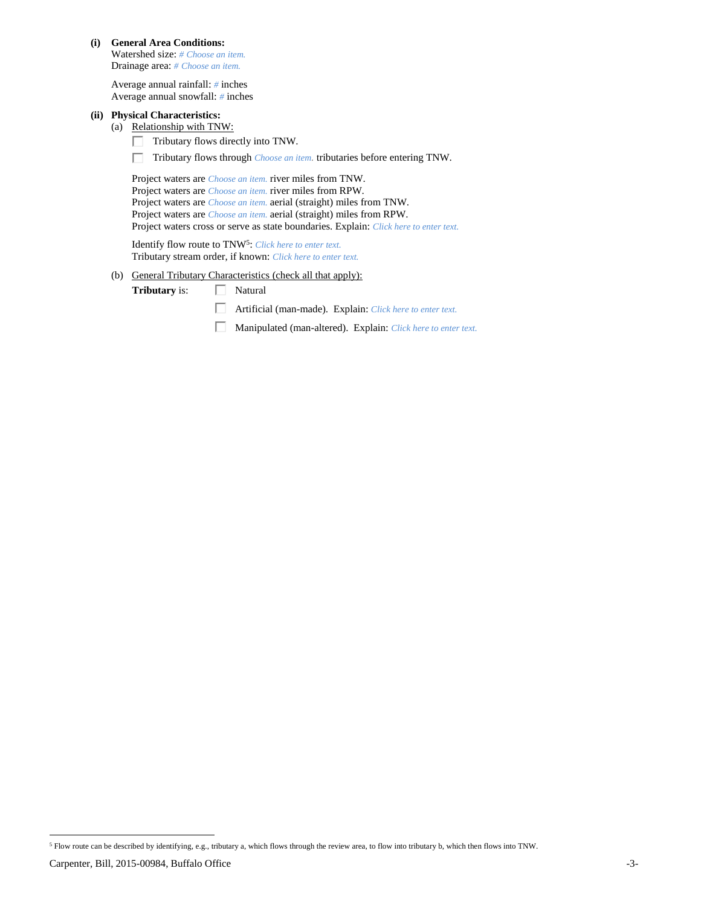**(i) General Area Conditions:**

Watershed size: *# Choose an item.* Drainage area: *# Choose an item.*

Average annual rainfall: *#* inches Average annual snowfall: *#* inches

## **(ii) Physical Characteristics:**

(a) Relationship with TNW:

- П. Tributary flows directly into TNW.
- Tributary flows through *Choose an item.* tributaries before entering TNW.

Project waters are *Choose an item.* river miles from TNW. Project waters are *Choose an item.* river miles from RPW. Project waters are *Choose an item.* aerial (straight) miles from TNW. Project waters are *Choose an item.* aerial (straight) miles from RPW. Project waters cross or serve as state boundaries. Explain: *Click here to enter text.*

Identify flow route to TNW<sup>5</sup>: Click here to enter text. Tributary stream order, if known: *Click here to enter text.*

(b) General Tributary Characteristics (check all that apply):

**Tributary** is:  $\Box$  Natural

Artificial (man-made). Explain: *Click here to enter text.*

Manipulated (man-altered). Explain: *Click here to enter text.*

 $\overline{a}$ <sup>5</sup> Flow route can be described by identifying, e.g., tributary a, which flows through the review area, to flow into tributary b, which then flows into TNW.

Carpenter, Bill, 2015-00984, Buffalo Office -3-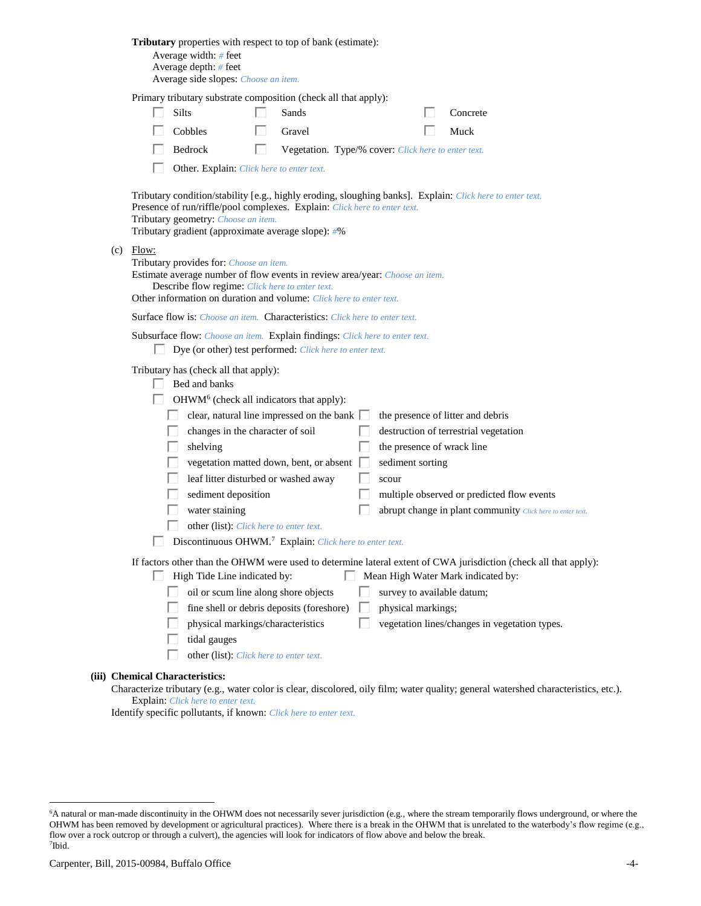|     | Tributary properties with respect to top of bank (estimate):<br>Average width: # feet<br>Average depth: # feet<br>Average side slopes: Choose an item.                                                                                                                                                                                                                                                                                                                                                                                                                                                                                                                                                                  |
|-----|-------------------------------------------------------------------------------------------------------------------------------------------------------------------------------------------------------------------------------------------------------------------------------------------------------------------------------------------------------------------------------------------------------------------------------------------------------------------------------------------------------------------------------------------------------------------------------------------------------------------------------------------------------------------------------------------------------------------------|
|     | Primary tributary substrate composition (check all that apply):<br>Silts<br>Sands<br>Concrete                                                                                                                                                                                                                                                                                                                                                                                                                                                                                                                                                                                                                           |
|     | Cobbles<br>Gravel<br>Muck                                                                                                                                                                                                                                                                                                                                                                                                                                                                                                                                                                                                                                                                                               |
|     | Bedrock<br>ш<br>Vegetation. Type/% cover: Click here to enter text.                                                                                                                                                                                                                                                                                                                                                                                                                                                                                                                                                                                                                                                     |
|     | Other. Explain: Click here to enter text.                                                                                                                                                                                                                                                                                                                                                                                                                                                                                                                                                                                                                                                                               |
|     | Tributary condition/stability [e.g., highly eroding, sloughing banks]. Explain: Click here to enter text.<br>Presence of run/riffle/pool complexes. Explain: Click here to enter text.<br>Tributary geometry: Choose an item.<br>Tributary gradient (approximate average slope): #%                                                                                                                                                                                                                                                                                                                                                                                                                                     |
| (c) | Flow:<br>Tributary provides for: Choose an item.<br>Estimate average number of flow events in review area/year: Choose an item.<br>Describe flow regime: Click here to enter text.<br>Other information on duration and volume: Click here to enter text.                                                                                                                                                                                                                                                                                                                                                                                                                                                               |
|     | <b>Surface flow is:</b> <i>Choose an item.</i> <b>Characteristics:</b> <i>Click here to enter text.</i>                                                                                                                                                                                                                                                                                                                                                                                                                                                                                                                                                                                                                 |
|     | Subsurface flow: Choose an item. Explain findings: Click here to enter text.<br>Dye (or other) test performed: Click here to enter text.                                                                                                                                                                                                                                                                                                                                                                                                                                                                                                                                                                                |
|     | Tributary has (check all that apply):<br>Bed and banks<br>OHWM <sup>6</sup> (check all indicators that apply):<br>clear, natural line impressed on the bank $\Box$<br>the presence of litter and debris<br>changes in the character of soil<br>destruction of terrestrial vegetation<br>shelving<br>the presence of wrack line<br>vegetation matted down, bent, or absent [<br>sediment sorting<br>leaf litter disturbed or washed away<br>scour<br>sediment deposition<br>multiple observed or predicted flow events<br>water staining<br>abrupt change in plant community Click here to enter text.<br>other (list): Click here to enter text.<br>Discontinuous OHWM. <sup>7</sup> Explain: Click here to enter text. |
|     | If factors other than the OHWM were used to determine lateral extent of CWA jurisdiction (check all that apply):<br>High Tide Line indicated by:<br>Mean High Water Mark indicated by:<br>oil or scum line along shore objects<br>survey to available datum;<br>fine shell or debris deposits (foreshore)<br>physical markings;                                                                                                                                                                                                                                                                                                                                                                                         |
|     | physical markings/characteristics<br>vegetation lines/changes in vegetation types.<br>tidal gauges<br>other (list): Click here to enter text.                                                                                                                                                                                                                                                                                                                                                                                                                                                                                                                                                                           |
|     | (iii) Chemical Characteristics:                                                                                                                                                                                                                                                                                                                                                                                                                                                                                                                                                                                                                                                                                         |
|     | Characterize tributary (e.g., water color is clear, discolored, oily film; water quality; general watershed characteristics, etc.).                                                                                                                                                                                                                                                                                                                                                                                                                                                                                                                                                                                     |
|     | <b>Explain:</b> Click here to enter text.                                                                                                                                                                                                                                                                                                                                                                                                                                                                                                                                                                                                                                                                               |

Identify specific pollutants, if known: *Click here to enter text.*

<sup>6</sup>A natural or man-made discontinuity in the OHWM does not necessarily sever jurisdiction (e.g., where the stream temporarily flows underground, or where the OHWM has been removed by development or agricultural practices). Where there is a break in the OHWM that is unrelated to the waterbody's flow regime (e.g., flow over a rock outcrop or through a culvert), the agencies will look for indicators of flow above and below the break. 7 Ibid.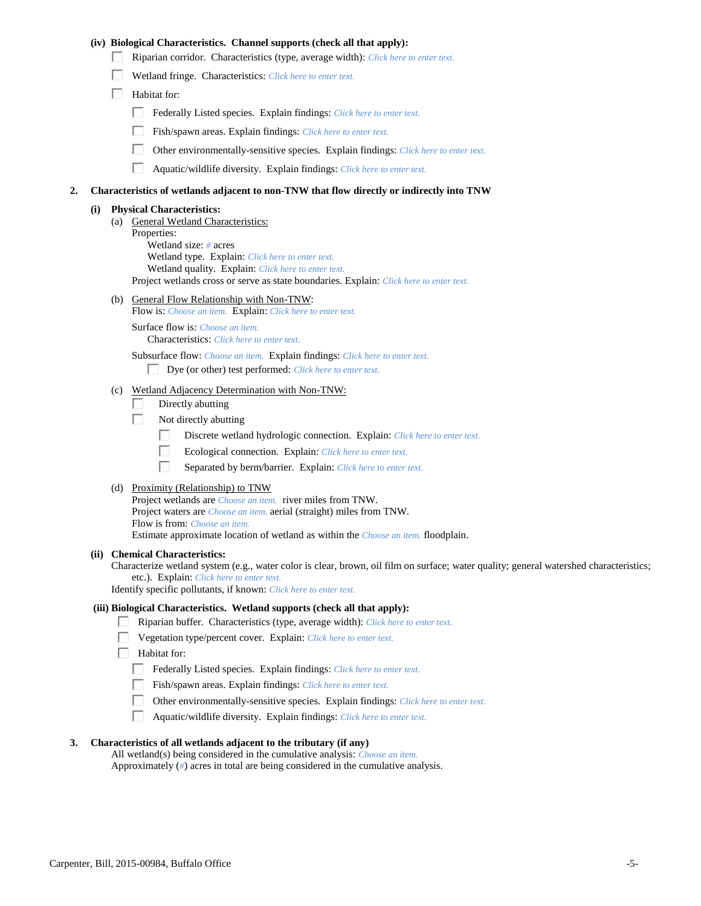## **(iv) Biological Characteristics. Channel supports (check all that apply):**

- Riparian corridor. Characteristics (type, average width): *Click here to enter text.*
- Wetland fringe. Characteristics: *Click here to enter text.*
- $\Box$  Habitat for:
	- Federally Listed species. Explain findings: *Click here to enter text.*
	- Fish/spawn areas. Explain findings: *Click here to enter text.*
	- $\Box$ Other environmentally-sensitive species. Explain findings: *Click here to enter text.*
	- $\Box$ Aquatic/wildlife diversity. Explain findings: *Click here to enter text.*

### **2. Characteristics of wetlands adjacent to non-TNW that flow directly or indirectly into TNW**

#### **(i) Physical Characteristics:**

- (a) General Wetland Characteristics: Properties: Wetland size: *#* acres Wetland type. Explain: *Click here to enter text.* Wetland quality. Explain: *Click here to enter text.* Project wetlands cross or serve as state boundaries. Explain: *Click here to enter text.*
- (b) General Flow Relationship with Non-TNW:
	- Flow is: *Choose an item.* Explain: *Click here to enter text.*

Surface flow is: *Choose an item.* Characteristics: *Click here to enter text.*

Subsurface flow: *Choose an item.* Explain findings: *Click here to enter text.*

Dye (or other) test performed: *Click here to enter text.*

## (c) Wetland Adjacency Determination with Non-TNW:

- П Directly abutting
- Г. Not directly abutting
	- П. Discrete wetland hydrologic connection. Explain: *Click here to enter text.*
	- П. Ecological connection. Explain: *Click here to enter text.*
	- П. Separated by berm/barrier. Explain: *Click here to enter text.*
- (d) Proximity (Relationship) to TNW

Project wetlands are *Choose an item.* river miles from TNW. Project waters are *Choose an item.* aerial (straight) miles from TNW. Flow is from: *Choose an item.* Estimate approximate location of wetland as within the *Choose an item.* floodplain.

#### **(ii) Chemical Characteristics:**

Characterize wetland system (e.g., water color is clear, brown, oil film on surface; water quality; general watershed characteristics; etc.). Explain: *Click here to enter text.*

Identify specific pollutants, if known: *Click here to enter text.*

#### **(iii) Biological Characteristics. Wetland supports (check all that apply):**

- Riparian buffer. Characteristics (type, average width): *Click here to enter text.*
	- Vegetation type/percent cover. Explain: *Click here to enter text.*
	- Habitat for:
	- Federally Listed species. Explain findings: *Click here to enter text*.
	- Fish/spawn areas. Explain findings: *Click here to enter text.*
	- Other environmentally-sensitive species. Explain findings: *Click here to enter text.*
	- Aquatic/wildlife diversity. Explain findings: *Click here to enter text.* П.

## **3. Characteristics of all wetlands adjacent to the tributary (if any)**

All wetland(s) being considered in the cumulative analysis: *Choose an item.* Approximately (*#*) acres in total are being considered in the cumulative analysis.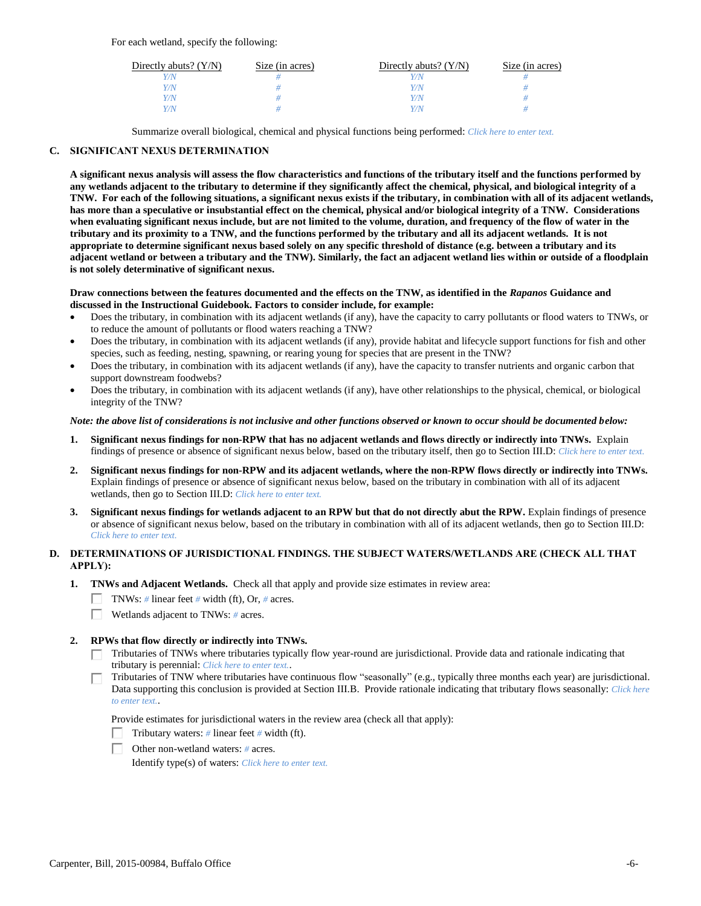For each wetland, specify the following:

| Directly abuts? $(Y/N)$ | Size (in acres) | Directly abuts? $(Y/N)$ | Size (in acres) |
|-------------------------|-----------------|-------------------------|-----------------|
| V/N                     |                 |                         |                 |
| Y/N                     |                 | Y/N                     |                 |
| Y/N                     |                 | Y/N                     |                 |
| Y/N                     |                 | 77 N                    |                 |

Summarize overall biological, chemical and physical functions being performed: *Click here to enter text.*

## **C. SIGNIFICANT NEXUS DETERMINATION**

**A significant nexus analysis will assess the flow characteristics and functions of the tributary itself and the functions performed by any wetlands adjacent to the tributary to determine if they significantly affect the chemical, physical, and biological integrity of a TNW. For each of the following situations, a significant nexus exists if the tributary, in combination with all of its adjacent wetlands, has more than a speculative or insubstantial effect on the chemical, physical and/or biological integrity of a TNW. Considerations when evaluating significant nexus include, but are not limited to the volume, duration, and frequency of the flow of water in the tributary and its proximity to a TNW, and the functions performed by the tributary and all its adjacent wetlands. It is not appropriate to determine significant nexus based solely on any specific threshold of distance (e.g. between a tributary and its adjacent wetland or between a tributary and the TNW). Similarly, the fact an adjacent wetland lies within or outside of a floodplain is not solely determinative of significant nexus.** 

### **Draw connections between the features documented and the effects on the TNW, as identified in the** *Rapanos* **Guidance and discussed in the Instructional Guidebook. Factors to consider include, for example:**

- Does the tributary, in combination with its adjacent wetlands (if any), have the capacity to carry pollutants or flood waters to TNWs, or to reduce the amount of pollutants or flood waters reaching a TNW?
- Does the tributary, in combination with its adjacent wetlands (if any), provide habitat and lifecycle support functions for fish and other species, such as feeding, nesting, spawning, or rearing young for species that are present in the TNW?
- Does the tributary, in combination with its adjacent wetlands (if any), have the capacity to transfer nutrients and organic carbon that support downstream foodwebs?
- Does the tributary, in combination with its adjacent wetlands (if any), have other relationships to the physical, chemical, or biological integrity of the TNW?

### *Note: the above list of considerations is not inclusive and other functions observed or known to occur should be documented below:*

- **1. Significant nexus findings for non-RPW that has no adjacent wetlands and flows directly or indirectly into TNWs.** Explain findings of presence or absence of significant nexus below, based on the tributary itself, then go to Section III.D: *Click here to enter text.*
- **2. Significant nexus findings for non-RPW and its adjacent wetlands, where the non-RPW flows directly or indirectly into TNWs.**  Explain findings of presence or absence of significant nexus below, based on the tributary in combination with all of its adjacent wetlands, then go to Section III.D: *Click here to enter text.*
- **3. Significant nexus findings for wetlands adjacent to an RPW but that do not directly abut the RPW.** Explain findings of presence or absence of significant nexus below, based on the tributary in combination with all of its adjacent wetlands, then go to Section III.D: *Click here to enter text.*

## **D. DETERMINATIONS OF JURISDICTIONAL FINDINGS. THE SUBJECT WATERS/WETLANDS ARE (CHECK ALL THAT APPLY):**

- **1. TNWs and Adjacent Wetlands.** Check all that apply and provide size estimates in review area:
	- TNWs: *#* linear feet *#* width (ft), Or, *#* acres.
	- $\Box$ Wetlands adjacent to TNWs: *#* acres.

## **2. RPWs that flow directly or indirectly into TNWs.**

- Tributaries of TNWs where tributaries typically flow year-round are jurisdictional. Provide data and rationale indicating that tributary is perennial: *Click here to enter text.*.
- Tributaries of TNW where tributaries have continuous flow "seasonally" (e.g., typically three months each year) are jurisdictional. Data supporting this conclusion is provided at Section III.B. Provide rationale indicating that tributary flows seasonally: *Click here to enter text.*.

Provide estimates for jurisdictional waters in the review area (check all that apply):

- Tributary waters: *#* linear feet *#* width (ft).
- Other non-wetland waters: *#* acres.

Identify type(s) of waters: *Click here to enter text.*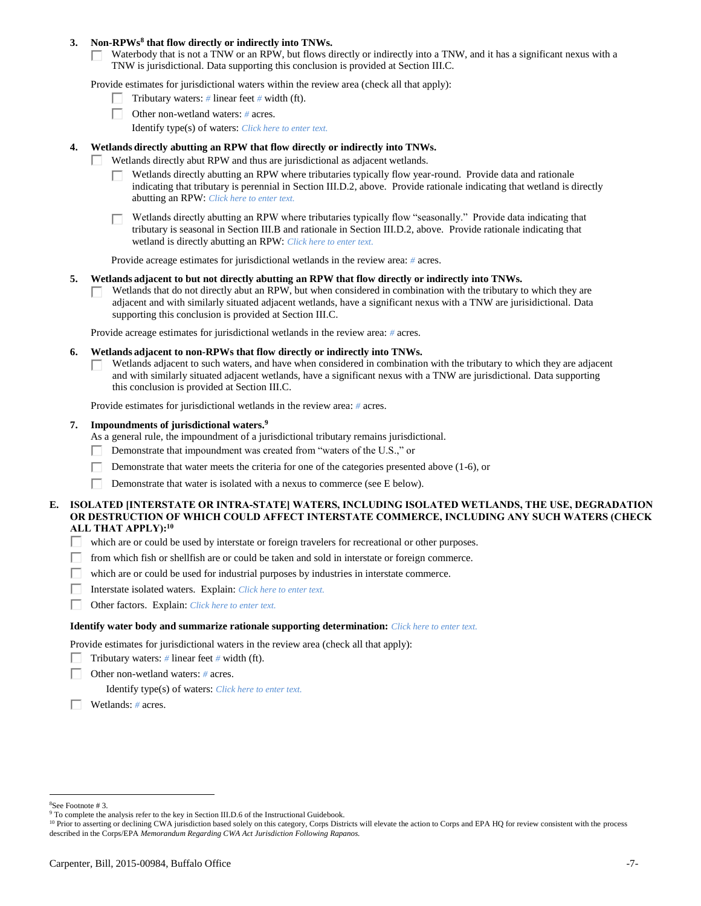### **3. Non-RPWs<sup>8</sup> that flow directly or indirectly into TNWs.**

Waterbody that is not a TNW or an RPW, but flows directly or indirectly into a TNW, and it has a significant nexus with a Г. TNW is jurisdictional. Data supporting this conclusion is provided at Section III.C.

Provide estimates for jurisdictional waters within the review area (check all that apply):

- Tributary waters: *#* linear feet *#* width (ft).  $\mathbf{L}$
- Other non-wetland waters: *#* acres.
	- Identify type(s) of waters: *Click here to enter text.*

## **4. Wetlands directly abutting an RPW that flow directly or indirectly into TNWs.**

- Wetlands directly abut RPW and thus are jurisdictional as adjacent wetlands. п
	- Wetlands directly abutting an RPW where tributaries typically flow year-round. Provide data and rationale indicating that tributary is perennial in Section III.D.2, above. Provide rationale indicating that wetland is directly abutting an RPW: *Click here to enter text.*

Wetlands directly abutting an RPW where tributaries typically flow "seasonally." Provide data indicating that tributary is seasonal in Section III.B and rationale in Section III.D.2, above. Provide rationale indicating that wetland is directly abutting an RPW: *Click here to enter text.*

Provide acreage estimates for jurisdictional wetlands in the review area: *#* acres.

### **5. Wetlands adjacent to but not directly abutting an RPW that flow directly or indirectly into TNWs.**

Wetlands that do not directly abut an RPW, but when considered in combination with the tributary to which they are  $\mathbf{L}$ adjacent and with similarly situated adjacent wetlands, have a significant nexus with a TNW are jurisidictional. Data supporting this conclusion is provided at Section III.C.

Provide acreage estimates for jurisdictional wetlands in the review area: *#* acres.

- **6. Wetlands adjacent to non-RPWs that flow directly or indirectly into TNWs.** 
	- Wetlands adjacent to such waters, and have when considered in combination with the tributary to which they are adjacent П and with similarly situated adjacent wetlands, have a significant nexus with a TNW are jurisdictional. Data supporting this conclusion is provided at Section III.C.

Provide estimates for jurisdictional wetlands in the review area: *#* acres.

### **7. Impoundments of jurisdictional waters. 9**

As a general rule, the impoundment of a jurisdictional tributary remains jurisdictional.

- п Demonstrate that impoundment was created from "waters of the U.S.," or
- Demonstrate that water meets the criteria for one of the categories presented above (1-6), or
- Г Demonstrate that water is isolated with a nexus to commerce (see E below).

## **E. ISOLATED [INTERSTATE OR INTRA-STATE] WATERS, INCLUDING ISOLATED WETLANDS, THE USE, DEGRADATION OR DESTRUCTION OF WHICH COULD AFFECT INTERSTATE COMMERCE, INCLUDING ANY SUCH WATERS (CHECK ALL THAT APPLY):<sup>10</sup>**

- П. which are or could be used by interstate or foreign travelers for recreational or other purposes.
- from which fish or shellfish are or could be taken and sold in interstate or foreign commerce. П.
- П. which are or could be used for industrial purposes by industries in interstate commerce.
- Interstate isolated waters.Explain: *Click here to enter text.* П.
- п Other factors.Explain: *Click here to enter text.*

#### **Identify water body and summarize rationale supporting determination:** *Click here to enter text.*

Provide estimates for jurisdictional waters in the review area (check all that apply):

- Tributary waters:  $\#$  linear feet  $\#$  width (ft).
- Other non-wetland waters: *#* acres.

Identify type(s) of waters: *Click here to enter text.*

Wetlands: *#* acres.

<sup>8</sup>See Footnote # 3.

<sup>&</sup>lt;sup>9</sup> To complete the analysis refer to the key in Section III.D.6 of the Instructional Guidebook.

<sup>&</sup>lt;sup>10</sup> Prior to asserting or declining CWA jurisdiction based solely on this category, Corps Districts will elevate the action to Corps and EPA HQ for review consistent with the process described in the Corps/EPA *Memorandum Regarding CWA Act Jurisdiction Following Rapanos.*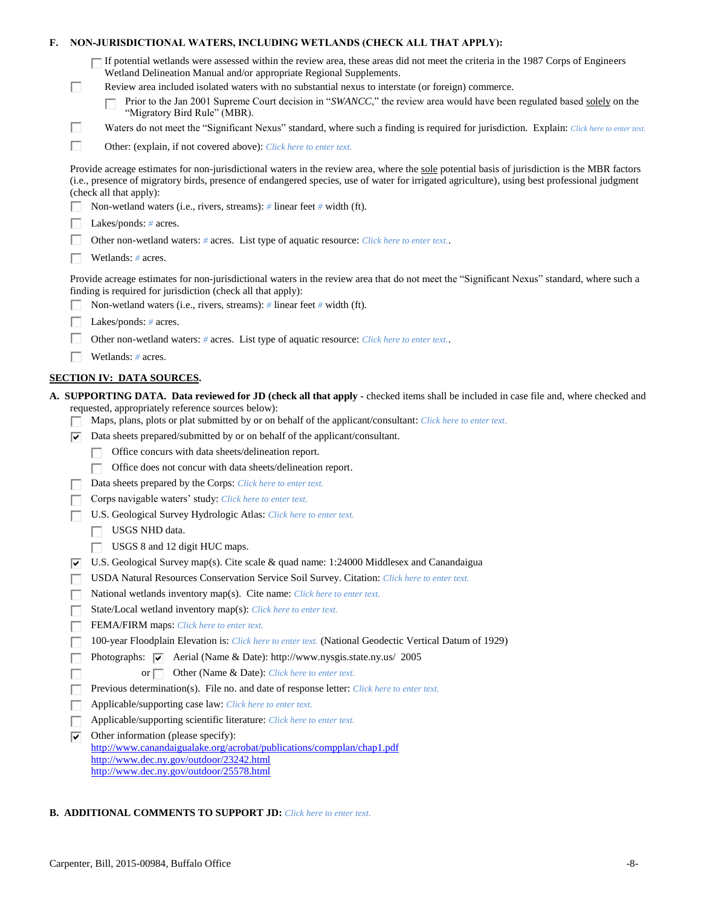| F. |                                                                                                                                                                                                            | NON-JURISDICTIONAL WATERS, INCLUDING WETLANDS (CHECK ALL THAT APPLY):                                                                                                                                                                                                                                                                                                                                                                                                                                                                                                                                                                                                                                                                                                                                                                                                                                                                                                                                                                                                                                                                                                                                                                                                                                                                                                                                                             |
|----|------------------------------------------------------------------------------------------------------------------------------------------------------------------------------------------------------------|-----------------------------------------------------------------------------------------------------------------------------------------------------------------------------------------------------------------------------------------------------------------------------------------------------------------------------------------------------------------------------------------------------------------------------------------------------------------------------------------------------------------------------------------------------------------------------------------------------------------------------------------------------------------------------------------------------------------------------------------------------------------------------------------------------------------------------------------------------------------------------------------------------------------------------------------------------------------------------------------------------------------------------------------------------------------------------------------------------------------------------------------------------------------------------------------------------------------------------------------------------------------------------------------------------------------------------------------------------------------------------------------------------------------------------------|
|    | □                                                                                                                                                                                                          | If potential wetlands were assessed within the review area, these areas did not meet the criteria in the 1987 Corps of Engineers<br>Wetland Delineation Manual and/or appropriate Regional Supplements.<br>Review area included isolated waters with no substantial nexus to interstate (or foreign) commerce.<br>Prior to the Jan 2001 Supreme Court decision in "SWANCC," the review area would have been regulated based solely on the<br>"Migratory Bird Rule" (MBR).                                                                                                                                                                                                                                                                                                                                                                                                                                                                                                                                                                                                                                                                                                                                                                                                                                                                                                                                                         |
|    | □                                                                                                                                                                                                          | Waters do not meet the "Significant Nexus" standard, where such a finding is required for jurisdiction. Explain: Click here to enter text.                                                                                                                                                                                                                                                                                                                                                                                                                                                                                                                                                                                                                                                                                                                                                                                                                                                                                                                                                                                                                                                                                                                                                                                                                                                                                        |
|    | П                                                                                                                                                                                                          | Other: (explain, if not covered above): Click here to enter text.                                                                                                                                                                                                                                                                                                                                                                                                                                                                                                                                                                                                                                                                                                                                                                                                                                                                                                                                                                                                                                                                                                                                                                                                                                                                                                                                                                 |
|    |                                                                                                                                                                                                            | Provide acreage estimates for non-jurisdictional waters in the review area, where the sole potential basis of jurisdiction is the MBR factors<br>(i.e., presence of migratory birds, presence of endangered species, use of water for irrigated agriculture), using best professional judgment<br>(check all that apply):                                                                                                                                                                                                                                                                                                                                                                                                                                                                                                                                                                                                                                                                                                                                                                                                                                                                                                                                                                                                                                                                                                         |
|    |                                                                                                                                                                                                            | Non-wetland waters (i.e., rivers, streams): $\#$ linear feet $\#$ width (ft).                                                                                                                                                                                                                                                                                                                                                                                                                                                                                                                                                                                                                                                                                                                                                                                                                                                                                                                                                                                                                                                                                                                                                                                                                                                                                                                                                     |
|    |                                                                                                                                                                                                            | Lakes/ponds: $# \, \text{acres.}$                                                                                                                                                                                                                                                                                                                                                                                                                                                                                                                                                                                                                                                                                                                                                                                                                                                                                                                                                                                                                                                                                                                                                                                                                                                                                                                                                                                                 |
|    |                                                                                                                                                                                                            | Other non-wetland waters: # acres. List type of aquatic resource: Click here to enter text                                                                                                                                                                                                                                                                                                                                                                                                                                                                                                                                                                                                                                                                                                                                                                                                                                                                                                                                                                                                                                                                                                                                                                                                                                                                                                                                        |
|    |                                                                                                                                                                                                            | Wetlands: $#$ acres.                                                                                                                                                                                                                                                                                                                                                                                                                                                                                                                                                                                                                                                                                                                                                                                                                                                                                                                                                                                                                                                                                                                                                                                                                                                                                                                                                                                                              |
|    | Provide acreage estimates for non-jurisdictional waters in the review area that do not meet the "Significant Nexus" standard, where such a<br>finding is required for jurisdiction (check all that apply): |                                                                                                                                                                                                                                                                                                                                                                                                                                                                                                                                                                                                                                                                                                                                                                                                                                                                                                                                                                                                                                                                                                                                                                                                                                                                                                                                                                                                                                   |
|    |                                                                                                                                                                                                            | Non-wetland waters (i.e., rivers, streams): $\#$ linear feet $\#$ width (ft).                                                                                                                                                                                                                                                                                                                                                                                                                                                                                                                                                                                                                                                                                                                                                                                                                                                                                                                                                                                                                                                                                                                                                                                                                                                                                                                                                     |
|    |                                                                                                                                                                                                            | Lakes/ponds: $# \, \text{acres.}$                                                                                                                                                                                                                                                                                                                                                                                                                                                                                                                                                                                                                                                                                                                                                                                                                                                                                                                                                                                                                                                                                                                                                                                                                                                                                                                                                                                                 |
|    |                                                                                                                                                                                                            | Other non-wetland waters: # acres. List type of aquatic resource: Click here to enter text                                                                                                                                                                                                                                                                                                                                                                                                                                                                                                                                                                                                                                                                                                                                                                                                                                                                                                                                                                                                                                                                                                                                                                                                                                                                                                                                        |
|    |                                                                                                                                                                                                            | Wetlands: $#$ acres.                                                                                                                                                                                                                                                                                                                                                                                                                                                                                                                                                                                                                                                                                                                                                                                                                                                                                                                                                                                                                                                                                                                                                                                                                                                                                                                                                                                                              |
|    |                                                                                                                                                                                                            | <b>SECTION IV: DATA SOURCES.</b>                                                                                                                                                                                                                                                                                                                                                                                                                                                                                                                                                                                                                                                                                                                                                                                                                                                                                                                                                                                                                                                                                                                                                                                                                                                                                                                                                                                                  |
|    | ⊽<br> ✓<br>г                                                                                                                                                                                               | A. SUPPORTING DATA. Data reviewed for JD (check all that apply - checked items shall be included in case file and, where checked and<br>requested, appropriately reference sources below):<br>Maps, plans, plots or plat submitted by or on behalf of the applicant/consultant: Click here to enter text.<br>Data sheets prepared/submitted by or on behalf of the applicant/consultant.<br>Office concurs with data sheets/delineation report.<br>Office does not concur with data sheets/delineation report.<br>Data sheets prepared by the Corps: Click here to enter text.<br>Corps navigable waters' study: Click here to enter text.<br>U.S. Geological Survey Hydrologic Atlas: Click here to enter text.<br>USGS NHD data.<br>USGS 8 and 12 digit HUC maps.<br>U.S. Geological Survey map(s). Cite scale & quad name: 1:24000 Middlesex and Canandaigua<br>USDA Natural Resources Conservation Service Soil Survey. Citation: Click here to enter text.<br>National wetlands inventory map(s). Cite name: Click here to enter text.<br>State/Local wetland inventory map(s): Click here to enter text.<br>FEMA/FIRM maps: Click here to enter text.<br>100-year Floodplain Elevation is: Click here to enter text. (National Geodectic Vertical Datum of 1929)<br>Photographs: $\overline{\vee}$ Aerial (Name & Date): http://www.nysgis.state.ny.us/ 2005<br>or $\Box$<br>Other (Name & Date): Click here to enter text. |
|    |                                                                                                                                                                                                            | Previous determination(s). File no. and date of response letter: Click here to enter text.                                                                                                                                                                                                                                                                                                                                                                                                                                                                                                                                                                                                                                                                                                                                                                                                                                                                                                                                                                                                                                                                                                                                                                                                                                                                                                                                        |
|    | ш                                                                                                                                                                                                          | Applicable/supporting case law: Click here to enter text.                                                                                                                                                                                                                                                                                                                                                                                                                                                                                                                                                                                                                                                                                                                                                                                                                                                                                                                                                                                                                                                                                                                                                                                                                                                                                                                                                                         |
|    | П                                                                                                                                                                                                          | Applicable/supporting scientific literature: Click here to enter text.                                                                                                                                                                                                                                                                                                                                                                                                                                                                                                                                                                                                                                                                                                                                                                                                                                                                                                                                                                                                                                                                                                                                                                                                                                                                                                                                                            |
|    | ☞                                                                                                                                                                                                          | Other information (please specify):<br>http://www.canandaigualake.org/acrobat/publications/compplan/chap1.pdf<br>http://www.dec.ny.gov/outdoor/23242.html                                                                                                                                                                                                                                                                                                                                                                                                                                                                                                                                                                                                                                                                                                                                                                                                                                                                                                                                                                                                                                                                                                                                                                                                                                                                         |
|    |                                                                                                                                                                                                            | http://www.dec.ny.gov/outdoor/25578.html                                                                                                                                                                                                                                                                                                                                                                                                                                                                                                                                                                                                                                                                                                                                                                                                                                                                                                                                                                                                                                                                                                                                                                                                                                                                                                                                                                                          |

# **B. ADDITIONAL COMMENTS TO SUPPORT JD:** *Click here to enter text.*